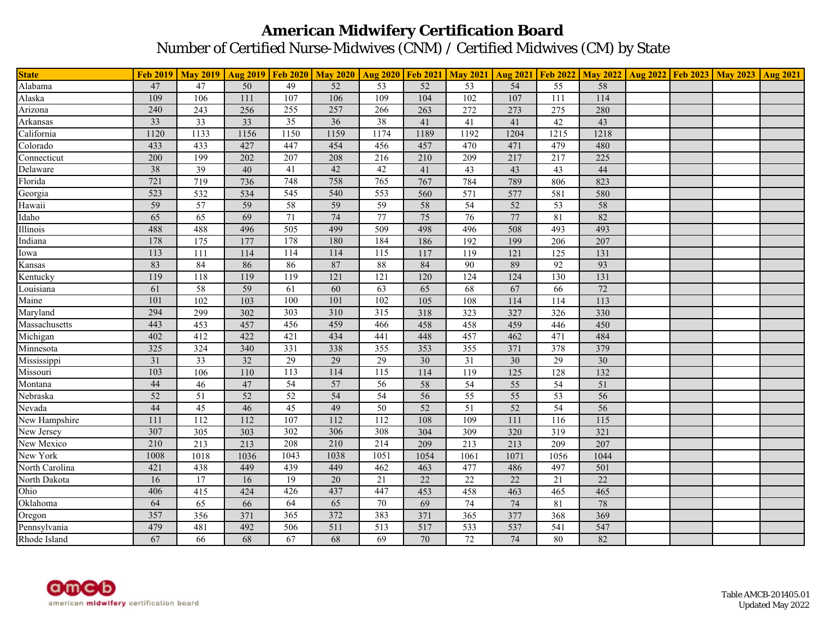## **American Midwifery Certification Board** Number of Certified Nurse-Midwives (CNM) / Certified Midwives (CM) by State

| <b>State</b>   |      | Feb 2019   May 2019   Aug 2019   Feb 2020   May 2020   Aug 2020   Feb 2021   May 2021   Aug 2021   Feb 2022   May 2022   Aug 2022   Feb 2023   May 2023   May 2023   Aug 2021 |                 |                  |                 |                 |                 |                 |                 |                  |                 |  |  |
|----------------|------|-------------------------------------------------------------------------------------------------------------------------------------------------------------------------------|-----------------|------------------|-----------------|-----------------|-----------------|-----------------|-----------------|------------------|-----------------|--|--|
| Alabama        | 47   | 47                                                                                                                                                                            | 50              | 49               | $\overline{52}$ | 53              | $\overline{52}$ | 53              | $\overline{54}$ | $\overline{55}$  | 58              |  |  |
| Alaska         | 109  | 106                                                                                                                                                                           | 111             | 107              | 106             | 109             | 104             | 102             | 107             | $\overline{111}$ | 114             |  |  |
| Arizona        | 240  | 243                                                                                                                                                                           | 256             | 255              | 257             | 266             | 263             | 272             | 273             | $\overline{275}$ | 280             |  |  |
| Arkansas       | 33   | 33                                                                                                                                                                            | 33              | 35               | $\overline{36}$ | 38              | 41              | 41              | 41              | 42               | 43              |  |  |
| California     | 1120 | 1133                                                                                                                                                                          | 1156            | 1150             | 1159            | 1174            | 1189            | 1192            | 1204            | 1215             | 1218            |  |  |
| Colorado       | 433  | 433                                                                                                                                                                           | 427             | 447              | 454             | 456             | 457             | 470             | 471             | 479              | 480             |  |  |
| Connecticut    | 200  | 199                                                                                                                                                                           | 202             | 207              | 208             | 216             | 210             | 209             | 217             | 217              | 225             |  |  |
| Delaware       | 38   | $\overline{39}$                                                                                                                                                               | 40              | 41               | 42              | 42              | 41              | $\overline{43}$ | 43              | 43               | 44              |  |  |
| Florida        | 721  | 719                                                                                                                                                                           | 736             | 748              | 758             | 765             | 767             | 784             | 789             | 806              | 823             |  |  |
| Georgia        | 523  | 532                                                                                                                                                                           | 534             | 545              | 540             | 553             | 560             | 571             | 577             | 581              | 580             |  |  |
| Hawaii         | 59   | $\overline{57}$                                                                                                                                                               | 59              | $\overline{58}$  | 59              | 59              | 58              | $\overline{54}$ | 52              | 53               | 58              |  |  |
| Idaho          | 65   | $\overline{65}$                                                                                                                                                               | 69              | $71\,$           | 74              | 77              | 75              | $\overline{76}$ | 77              | 81               | 82              |  |  |
| Illinois       | 488  | 488                                                                                                                                                                           | 496             | 505              | 499             | 509             | 498             | 496             | 508             | 493              | 493             |  |  |
| Indiana        | 178  | $\overline{175}$                                                                                                                                                              | 177             | 178              | 180             | 184             | 186             | 192             | 199             | 206              | 207             |  |  |
| Iowa           | 113  | 111                                                                                                                                                                           | 114             | 114              | 114             | 115             | 117             | 119             | 121             | 125              | 131             |  |  |
| Kansas         | 83   | 84                                                                                                                                                                            | 86              | 86               | 87              | 88              | 84              | 90              | 89              | $\overline{92}$  | 93              |  |  |
| Kentucky       | 119  | 118                                                                                                                                                                           | 119             | 119              | 121             | 121             | 120             | 124             | 124             | 130              | 131             |  |  |
| Louisiana      | 61   | 58                                                                                                                                                                            | 59              | 61               | 60              | 63              | 65              | 68              | 67              | 66               | 72              |  |  |
| Maine          | 101  | 102                                                                                                                                                                           | 103             | 100              | 101             | 102             | 105             | 108             | 114             | 114              | 113             |  |  |
| Maryland       | 294  | 299                                                                                                                                                                           | 302             | 303              | 310             | 315             | 318             | 323             | 327             | 326              | 330             |  |  |
| Massachusetts  | 443  | 453                                                                                                                                                                           | 457             | 456              | 459             | 466             | 458             | 458             | 459             | 446              | 450             |  |  |
| Michigan       | 402  | 412                                                                                                                                                                           | 422             | 421              | 434             | 441             | 448             | 457             | 462             | 471              | 484             |  |  |
| Minnesota      | 325  | 324                                                                                                                                                                           | 340             | 331              | 338             | 355             | 353             | 355             | 371             | 378              | 379             |  |  |
| Mississippi    | 31   | $\overline{33}$                                                                                                                                                               | 32              | 29               | 29              | 29              | 30              | 31              | $\overline{30}$ | 29               | 30              |  |  |
| Missouri       | 103  | 106                                                                                                                                                                           | 110             | 113              | 114             | 115             | 114             | 119             | 125             | 128              | 132             |  |  |
| Montana        | 44   | 46                                                                                                                                                                            | 47              | $\overline{54}$  | 57              | $\overline{56}$ | 58              | 54              | $\overline{55}$ | $\overline{54}$  | 51              |  |  |
| Nebraska       | 52   | 51                                                                                                                                                                            | $\overline{52}$ | 52               | $\overline{54}$ | 54              | 56              | $\overline{55}$ | $\overline{55}$ | 53               | 56              |  |  |
| Nevada         | 44   | $\overline{45}$                                                                                                                                                               | 46              | 45               | 49              | 50              | 52              | 51              | 52              | 54               | 56              |  |  |
| New Hampshire  | 111  | 112                                                                                                                                                                           | 112             | 107              | 112             | 112             | 108             | 109             | 111             | 116              | 115             |  |  |
| New Jersey     | 307  | 305                                                                                                                                                                           | 303             | 302              | 306             | 308             | 304             | 309             | 320             | 319              | 321             |  |  |
| New Mexico     | 210  | $\overline{213}$                                                                                                                                                              | 213             | 208              | 210             | 214             | 209             | 213             | 213             | 209              | 207             |  |  |
| New York       | 1008 | 1018                                                                                                                                                                          | 1036            | 1043             | 1038            | 1051            | 1054            | 1061            | 1071            | 1056             | 1044            |  |  |
| North Carolina | 421  | 438                                                                                                                                                                           | 449             | 439              | 449             | 462             | 463             | 477             | 486             | 497              | 501             |  |  |
| North Dakota   | 16   | 17                                                                                                                                                                            | 16              | 19               | 20              | 21              | $\overline{22}$ | 22              | 22              | 21               | $\overline{22}$ |  |  |
| Ohio           | 406  | 415                                                                                                                                                                           | 424             | 426              | 437             | 447             | 453             | 458             | 463             | 465              | 465             |  |  |
| Oklahoma       | 64   | 65                                                                                                                                                                            | 66              | 64               | $\overline{65}$ | $\overline{70}$ | 69              | 74              | 74              | 81               | 78              |  |  |
| Oregon         | 357  | 356                                                                                                                                                                           | 371             | $\overline{365}$ | 372             | 383             | 371             | 365             | 377             | 368              | 369             |  |  |
| Pennsylvania   | 479  | 481                                                                                                                                                                           | 492             | 506              | 511             | 513             | 517             | 533             | 537             | 541              | 547             |  |  |
| Rhode Island   | 67   | 66                                                                                                                                                                            | 68              | 67               | 68              | 69              | 70              | $\overline{72}$ | 74              | 80               | 82              |  |  |